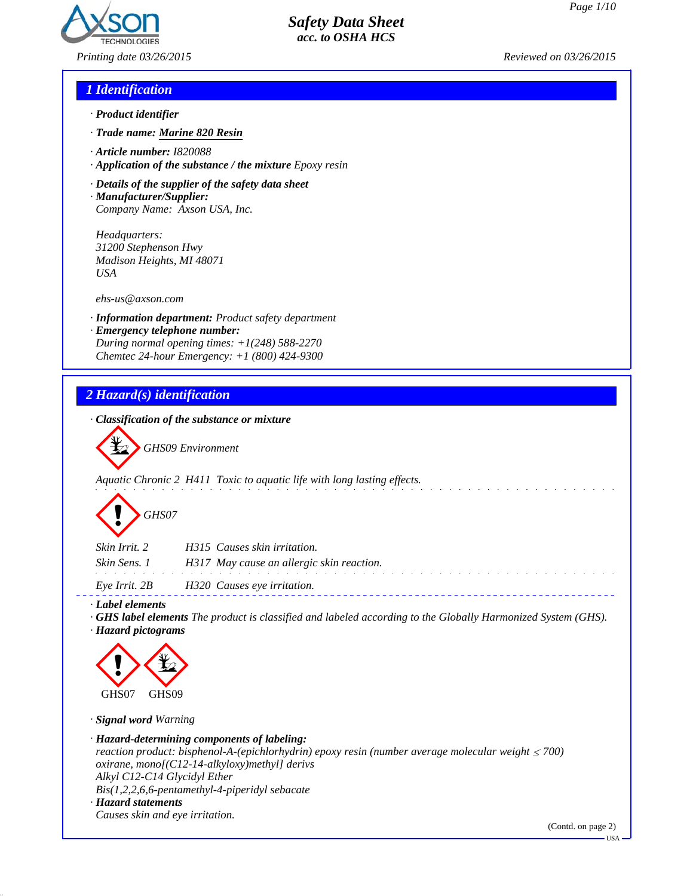

*Printing date 03/26/2015 Reviewed on 03/26/2015*

#### *1 Identification*

- *· Product identifier*
- *· Trade name: Marine 820 Resin*
- *· Article number: I820088*
- *· Application of the substance / the mixture Epoxy resin*
- *· Details of the supplier of the safety data sheet*
- *· Manufacturer/Supplier: Company Name: Axson USA, Inc.*

*Headquarters: 31200 Stephenson Hwy Madison Heights, MI 48071 USA*

*ehs-us@axson.com*

- *· Information department: Product safety department*
- *· Emergency telephone number: During normal opening times: +1(248) 588-2270 Chemtec 24-hour Emergency: +1 (800) 424-9300*

## *2 Hazard(s) identification*

*· Classification of the substance or mixture*

~*GHS09 Environment*

*Aquatic Chronic 2 H411 Toxic to aquatic life with long lasting effects.*



| Skin Irrit. 2 | H315 Causes skin irritation.              |
|---------------|-------------------------------------------|
| Skin Sens. 1  | H317 May cause an allergic skin reaction. |
| Eve Irrit. 2B | H320 Causes eye irritation.               |
|               |                                           |

*· Label elements*

*· GHS label elements The product is classified and labeled according to the Globally Harmonized System (GHS). · Hazard pictograms*



*· Signal word Warning*

*· Hazard-determining components of labeling: reaction product: bisphenol-A-(epichlorhydrin) epoxy resin (number average molecular weight ≤ 700) oxirane, mono[(C12-14-alkyloxy)methyl] derivs Alkyl C12-C14 Glycidyl Ether Bis(1,2,2,6,6-pentamethyl-4-piperidyl sebacate · Hazard statements Causes skin and eye irritation.*

(Contd. on page 2)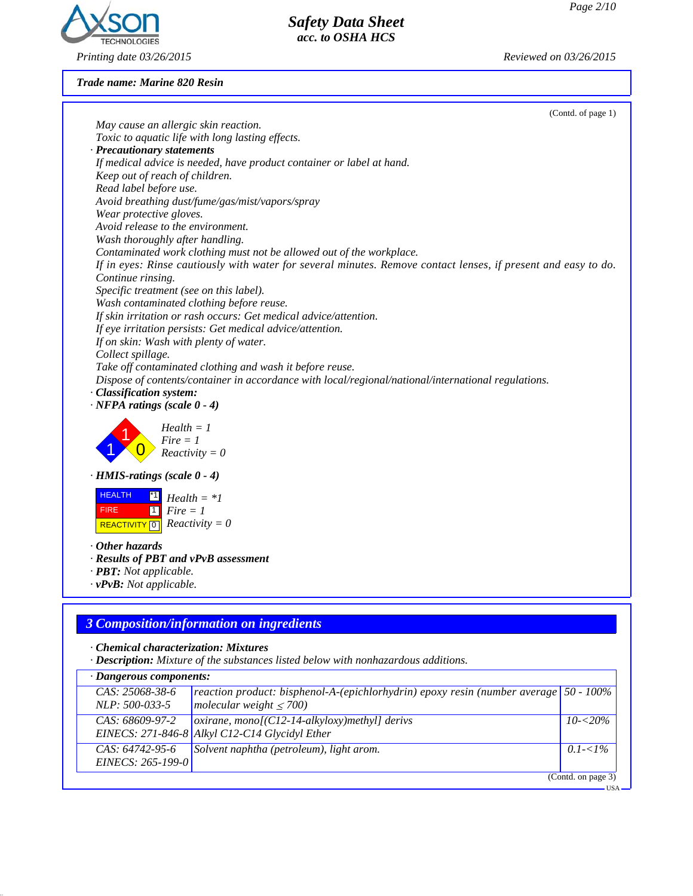

# *Printing date 03/26/2015 Reviewed on 03/26/2015*

*Trade name: Marine 820 Resin*

| (Contd. of page 1)                                                                                             |
|----------------------------------------------------------------------------------------------------------------|
| May cause an allergic skin reaction.                                                                           |
| Toxic to aquatic life with long lasting effects.                                                               |
| · Precautionary statements                                                                                     |
| If medical advice is needed, have product container or label at hand.                                          |
| Keep out of reach of children.                                                                                 |
| Read label before use.                                                                                         |
| Avoid breathing dust/fume/gas/mist/vapors/spray                                                                |
| Wear protective gloves.                                                                                        |
| Avoid release to the environment.                                                                              |
| Wash thoroughly after handling.                                                                                |
| Contaminated work clothing must not be allowed out of the workplace.                                           |
| If in eyes: Rinse cautiously with water for several minutes. Remove contact lenses, if present and easy to do. |
| Continue rinsing.                                                                                              |
| Specific treatment (see on this label).                                                                        |
| Wash contaminated clothing before reuse.                                                                       |
| If skin irritation or rash occurs: Get medical advice/attention.                                               |
| If eye irritation persists: Get medical advice/attention.                                                      |
| If on skin: Wash with plenty of water.                                                                         |
| Collect spillage.                                                                                              |
| Take off contaminated clothing and wash it before reuse.                                                       |
| Dispose of contents/container in accordance with local/regional/national/international regulations.            |
| · Classification system:                                                                                       |
| $\cdot$ NFPA ratings (scale $0 - 4$ )                                                                          |
| $Health = 1$                                                                                                   |
| $Fire = 1$                                                                                                     |
| $Reactivity = 0$                                                                                               |
|                                                                                                                |
| $\cdot$ HMIS-ratings (scale $0 - 4$ )                                                                          |
| <b>HEALTH</b><br>$^{\ast}1$                                                                                    |
| $Health = *1$                                                                                                  |
| <b>FIRE</b><br>$\begin{bmatrix} 1 \\ 1 \end{bmatrix}$ Fire = 1                                                 |
| REACTIVITY $\boxed{0}$ Reactivity = 0                                                                          |
| $\cdot$ Other hazards                                                                                          |
| · Results of PBT and vPvB assessment                                                                           |
| · PBT: Not applicable.                                                                                         |
| $\cdot$ vPvB: Not applicable.                                                                                  |
|                                                                                                                |
|                                                                                                                |
| <b>3 Composition/information on ingredients</b>                                                                |
|                                                                                                                |
| · Chemical characterization: Mixtures                                                                          |

*Safety Data Sheet acc. to OSHA HCS*

*· Description: Mixture of the substances listed below with nonhazardous additions.*

| $\cdot$ Dangerous components:          |                                                                                                                               |                    |  |
|----------------------------------------|-------------------------------------------------------------------------------------------------------------------------------|--------------------|--|
| CAS: 25068-38-6<br>NLP: 500-033-5      | reaction product: bisphenol-A-(epichlorhydrin) epoxy resin (number average $\vert$ 50 - 100%<br>molecular weight $\leq 700$ ) |                    |  |
| CAS: 68609-97-2                        | $\alpha$ oxirane, mono[(C12-14-alkyloxy)methyl] derivs<br>EINECS: 271-846-8 Alkyl C12-C14 Glycidyl Ether                      | $10 - 20\%$        |  |
| $CAS: 64742-95-6$<br>EINECS: 265-199-0 | Solvent naphtha (petroleum), light arom.                                                                                      | $0.1 - 1\%$        |  |
|                                        |                                                                                                                               | (Contd. on page 3) |  |

USA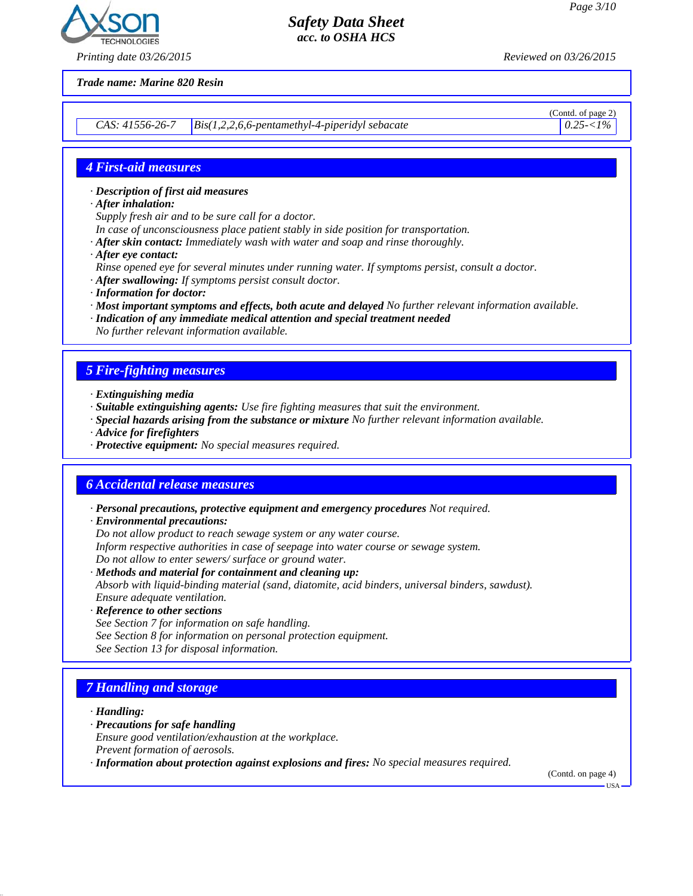

*Printing date 03/26/2015 Reviewed on 03/26/2015*

*Trade name: Marine 820 Resin*

*CAS: 41556-26-7* Bis(1,2,2,6,6-pentamethyl-4-piperidyl sebacate 0.25- $\langle 0.25 - 1\% \rangle$ 

(Contd. of page 2)

#### *4 First-aid measures*

- *· Description of first aid measures*
- *· After inhalation:*
- *Supply fresh air and to be sure call for a doctor.*
- *In case of unconsciousness place patient stably in side position for transportation.*
- *· After skin contact: Immediately wash with water and soap and rinse thoroughly.*
- *· After eye contact:*
- *Rinse opened eye for several minutes under running water. If symptoms persist, consult a doctor.*
- *· After swallowing: If symptoms persist consult doctor.*
- *· Information for doctor:*
- *· Most important symptoms and effects, both acute and delayed No further relevant information available.*
- *· Indication of any immediate medical attention and special treatment needed*
- *No further relevant information available.*

#### *5 Fire-fighting measures*

- *· Extinguishing media*
- *· Suitable extinguishing agents: Use fire fighting measures that suit the environment.*
- *· Special hazards arising from the substance or mixture No further relevant information available.*
- *· Advice for firefighters*
- *· Protective equipment: No special measures required.*

#### *6 Accidental release measures*

- *· Personal precautions, protective equipment and emergency procedures Not required.*
- *· Environmental precautions:*
- *Do not allow product to reach sewage system or any water course.*
- *Inform respective authorities in case of seepage into water course or sewage system.*
- *Do not allow to enter sewers/ surface or ground water.*
- *· Methods and material for containment and cleaning up: Absorb with liquid-binding material (sand, diatomite, acid binders, universal binders, sawdust). Ensure adequate ventilation.*
- *· Reference to other sections*
- *See Section 7 for information on safe handling.*
- *See Section 8 for information on personal protection equipment.*
- *See Section 13 for disposal information.*

### *7 Handling and storage*

*· Handling:*

- *· Precautions for safe handling*
- *Ensure good ventilation/exhaustion at the workplace.*
- *Prevent formation of aerosols.*
- *· Information about protection against explosions and fires: No special measures required.*

(Contd. on page 4)

USA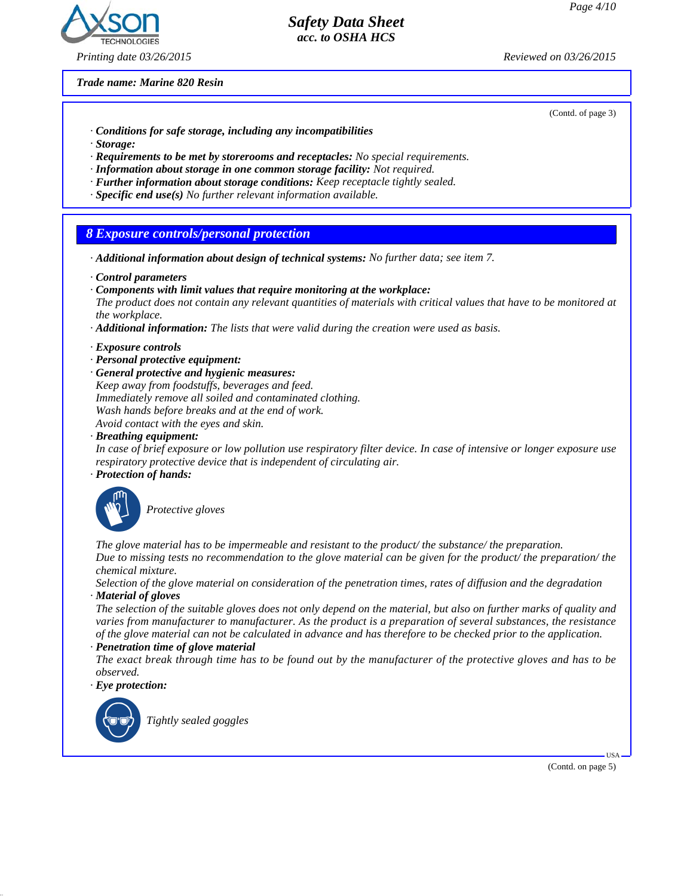

#### *Printing date 03/26/2015 Reviewed on 03/26/2015*

#### *Safety Data Sheet acc. to OSHA HCS*

*Trade name: Marine 820 Resin*

(Contd. of page 3)

- *· Conditions for safe storage, including any incompatibilities*
- *· Storage:*
- *· Requirements to be met by storerooms and receptacles: No special requirements.*
- *· Information about storage in one common storage facility: Not required.*
- *· Further information about storage conditions: Keep receptacle tightly sealed.*
- *· Specific end use(s) No further relevant information available.*

#### *8 Exposure controls/personal protection*

- *· Additional information about design of technical systems: No further data; see item 7.*
- *· Control parameters*
- *· Components with limit values that require monitoring at the workplace:*

*The product does not contain any relevant quantities of materials with critical values that have to be monitored at the workplace.*

- *· Additional information: The lists that were valid during the creation were used as basis.*
- *· Exposure controls*
- *· Personal protective equipment:*
- *· General protective and hygienic measures:*
- *Keep away from foodstuffs, beverages and feed. Immediately remove all soiled and contaminated clothing. Wash hands before breaks and at the end of work.*

*Avoid contact with the eyes and skin.*

*· Breathing equipment:*

*In case of brief exposure or low pollution use respiratory filter device. In case of intensive or longer exposure use respiratory protective device that is independent of circulating air.*

*· Protection of hands:*



**Protective gloves** 

*The glove material has to be impermeable and resistant to the product/ the substance/ the preparation. Due to missing tests no recommendation to the glove material can be given for the product/ the preparation/ the chemical mixture.*

*Selection of the glove material on consideration of the penetration times, rates of diffusion and the degradation · Material of gloves*

*The selection of the suitable gloves does not only depend on the material, but also on further marks of quality and varies from manufacturer to manufacturer. As the product is a preparation of several substances, the resistance of the glove material can not be calculated in advance and has therefore to be checked prior to the application.*

#### *· Penetration time of glove material*

*The exact break through time has to be found out by the manufacturer of the protective gloves and has to be observed.*

*· Eye protection:*



`R*Tightly sealed goggles*

(Contd. on page 5)

USA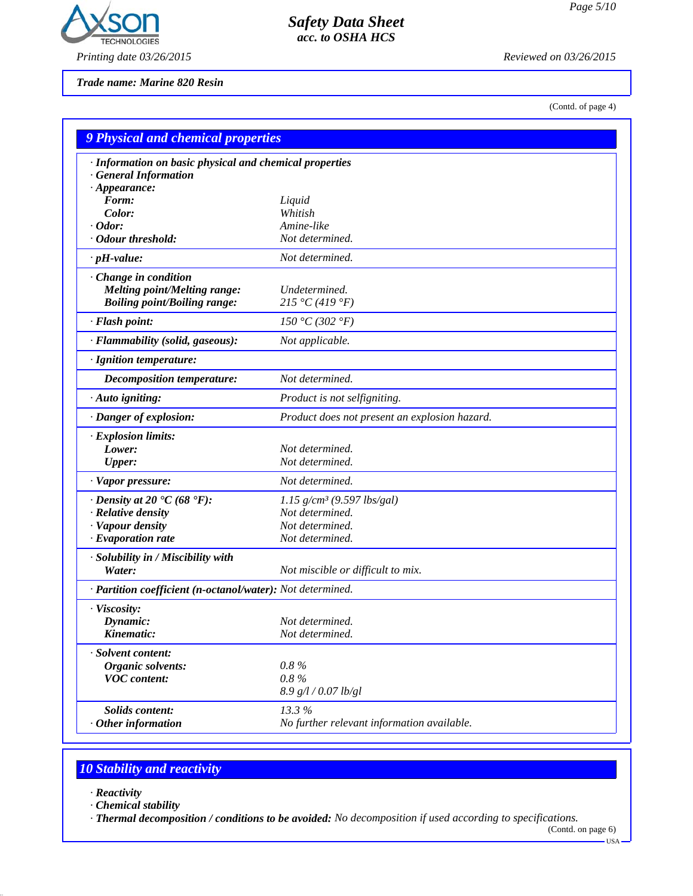

*Printing date 03/26/2015 Reviewed on 03/26/2015*

*Trade name: Marine 820 Resin*

(Contd. of page 4)

| <b>9 Physical and chemical properties</b>                                             |                                               |  |
|---------------------------------------------------------------------------------------|-----------------------------------------------|--|
| · Information on basic physical and chemical properties<br><b>General Information</b> |                                               |  |
| $\cdot$ Appearance:                                                                   |                                               |  |
| Form:                                                                                 | Liquid                                        |  |
| Color:                                                                                | Whitish                                       |  |
| $\cdot$ Odor:<br>· Odour threshold:                                                   | Amine-like                                    |  |
|                                                                                       | Not determined.                               |  |
| $\cdot$ pH-value:                                                                     | Not determined.                               |  |
| Change in condition                                                                   |                                               |  |
| <b>Melting point/Melting range:</b>                                                   | Undetermined.                                 |  |
| <b>Boiling point/Boiling range:</b>                                                   | 215 °C (419 °F)                               |  |
| · Flash point:                                                                        | 150 °C (302 °F)                               |  |
| · Flammability (solid, gaseous):                                                      | Not applicable.                               |  |
| · Ignition temperature:                                                               |                                               |  |
| Decomposition temperature:                                                            | Not determined.                               |  |
| $\cdot$ Auto igniting:                                                                | Product is not selfigniting.                  |  |
| · Danger of explosion:                                                                | Product does not present an explosion hazard. |  |
| · Explosion limits:                                                                   |                                               |  |
| Lower:                                                                                | Not determined.                               |  |
| <b>Upper:</b>                                                                         | Not determined.                               |  |
| · Vapor pressure:                                                                     | Not determined.                               |  |
| $\cdot$ Density at 20 $\cdot$ C (68 $\cdot$ F):                                       | $1.15$ g/cm <sup>3</sup> (9.597 lbs/gal)      |  |
| · Relative density                                                                    | Not determined.                               |  |
| · Vapour density                                                                      | Not determined.                               |  |
| $\cdot$ Evaporation rate                                                              | Not determined.                               |  |
| · Solubility in / Miscibility with                                                    |                                               |  |
| Water:                                                                                | Not miscible or difficult to mix.             |  |
| · Partition coefficient (n-octanol/water): Not determined.                            |                                               |  |
| · Viscosity:                                                                          |                                               |  |
| Dynamic:                                                                              | Not determined.                               |  |
| Kinematic:                                                                            | Not determined.                               |  |
| · Solvent content:                                                                    |                                               |  |
| Organic solvents:                                                                     | $0.8\%$                                       |  |
| <b>VOC</b> content:                                                                   | $0.8\%$                                       |  |
|                                                                                       | 8.9 g/l / 0.07 lb/gl                          |  |
| Solids content:                                                                       | 13.3%                                         |  |
| $·$ Other information                                                                 | No further relevant information available.    |  |

*Safety Data Sheet acc. to OSHA HCS*

# *10 Stability and reactivity*

#### *· Reactivity*

*· Chemical stability*

*· Thermal decomposition / conditions to be avoided: No decomposition if used according to specifications.*

<sup>(</sup>Contd. on page 6)  $-$  USA  $-$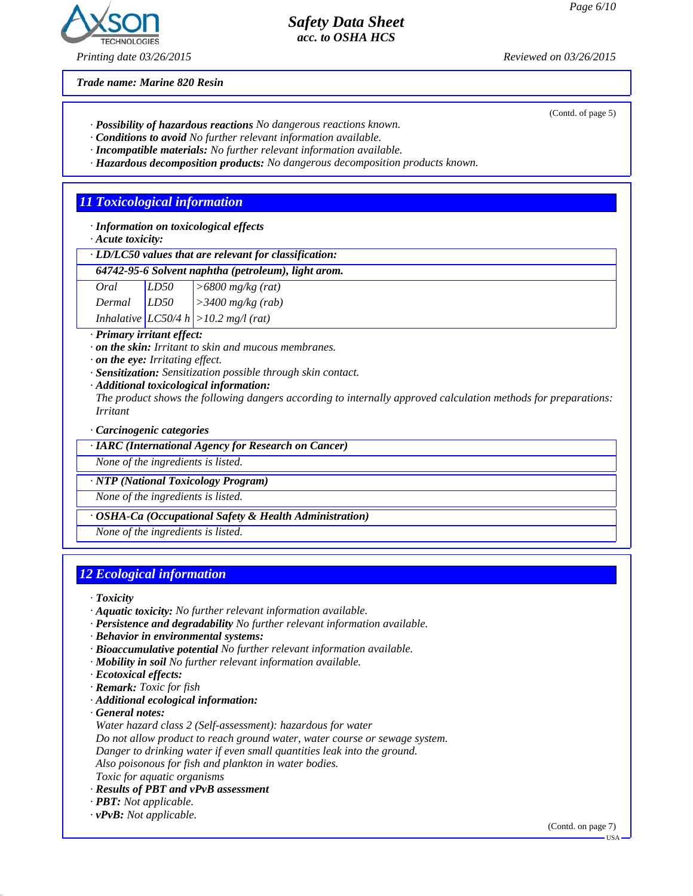

*Printing date 03/26/2015 Reviewed on 03/26/2015*

*Trade name: Marine 820 Resin*

(Contd. of page 5)

- *· Possibility of hazardous reactions No dangerous reactions known.*
- *· Conditions to avoid No further relevant information available.*
- *· Incompatible materials: No further relevant information available.*
- *· Hazardous decomposition products: No dangerous decomposition products known.*

## *11 Toxicological information*

*· Information on toxicological effects*

*· Acute toxicity:*

*· LD/LC50 values that are relevant for classification:*

#### *64742-95-6 Solvent naphtha (petroleum), light arom.*

| Oral   | LD50 | $\sim$ 5800 mg/kg (rat)                   |
|--------|------|-------------------------------------------|
| Dermal | LD50 | $\vert$ > 3400 mg/kg (rab)                |
|        |      | Inhalative $ LCS0/4 h  > 10.2 mg/l$ (rat) |

*· Primary irritant effect:*

- *· on the skin: Irritant to skin and mucous membranes.*
- *· on the eye: Irritating effect.*
- *· Sensitization: Sensitization possible through skin contact.*
- *· Additional toxicological information:*

*The product shows the following dangers according to internally approved calculation methods for preparations: Irritant*

#### *· Carcinogenic categories*

*· IARC (International Agency for Research on Cancer)*

*None of the ingredients is listed.*

*· NTP (National Toxicology Program)*

*None of the ingredients is listed.*

#### *· OSHA-Ca (Occupational Safety & Health Administration)*

*None of the ingredients is listed.*

### *12 Ecological information*

*· Toxicity*

- *· Aquatic toxicity: No further relevant information available.*
- *· Persistence and degradability No further relevant information available.*
- *· Behavior in environmental systems:*
- *· Bioaccumulative potential No further relevant information available.*
- *· Mobility in soil No further relevant information available.*
- *· Ecotoxical effects:*
- *· Remark: Toxic for fish*
- *· Additional ecological information:*

*· General notes:*

*Water hazard class 2 (Self-assessment): hazardous for water*

- *Do not allow product to reach ground water, water course or sewage system.*
- *Danger to drinking water if even small quantities leak into the ground.*

*Also poisonous for fish and plankton in water bodies.*

- *Toxic for aquatic organisms*
- *· Results of PBT and vPvB assessment*
- *· PBT: Not applicable.*
- *· vPvB: Not applicable.*

(Contd. on page 7)

USA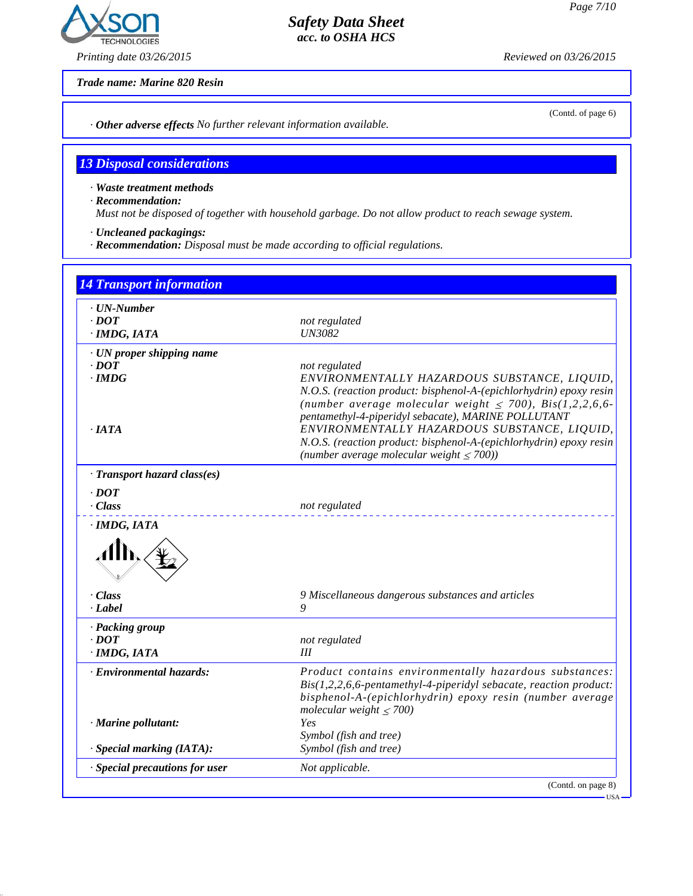# **ECHNOLOGIES**

# *Safety Data Sheet acc. to OSHA HCS*

*Printing date 03/26/2015 Reviewed on 03/26/2015*

*Trade name: Marine 820 Resin*

(Contd. of page 6)

*· Other adverse effects No further relevant information available.*

## *13 Disposal considerations*

*· Waste treatment methods*

*· Recommendation:*

*Must not be disposed of together with household garbage. Do not allow product to reach sewage system.*

- *· Uncleaned packagings:*
- *· Recommendation: Disposal must be made according to official regulations.*

| $\cdot$ UN-Number            |                                                                                                                                                                                           |
|------------------------------|-------------------------------------------------------------------------------------------------------------------------------------------------------------------------------------------|
| $\cdot$ DOT                  | not regulated                                                                                                                                                                             |
| · IMDG, IATA                 | <b>UN3082</b>                                                                                                                                                                             |
| · UN proper shipping name    |                                                                                                                                                                                           |
| $\cdot$ DOT                  | not regulated                                                                                                                                                                             |
| $\cdot$ IMDG                 | ENVIRONMENTALLY HAZARDOUS SUBSTANCE, LIQUID,                                                                                                                                              |
|                              | N.O.S. (reaction product: bisphenol-A-(epichlorhydrin) epoxy resin<br>(number average molecular weight $\leq$ 700), Bis(1,2,2,6,6-<br>pentamethyl-4-piperidyl sebacate), MARINE POLLUTANT |
| $\cdot$ JATA                 | ENVIRONMENTALLY HAZARDOUS SUBSTANCE, LIQUID,                                                                                                                                              |
|                              | N.O.S. (reaction product: bisphenol-A-(epichlorhydrin) epoxy resin                                                                                                                        |
|                              | (number average molecular weight $\leq$ 700))                                                                                                                                             |
| · Transport hazard class(es) |                                                                                                                                                                                           |
| $\cdot$ DOT                  |                                                                                                                                                                                           |
| $\cdot Class$                | not regulated                                                                                                                                                                             |
|                              |                                                                                                                                                                                           |
|                              |                                                                                                                                                                                           |
| - Class                      | 9 Miscellaneous dangerous substances and articles                                                                                                                                         |
| $-Label$                     | 9                                                                                                                                                                                         |
| · Packing group              |                                                                                                                                                                                           |
| $\cdot$ <i>DOT</i>           | not regulated                                                                                                                                                                             |
| · IMDG, IATA                 | Ш                                                                                                                                                                                         |
| · Environmental hazards:     |                                                                                                                                                                                           |
|                              | Product contains environmentally hazardous substances:<br>$Bis(1,2,2,6,6\text{-}pentamethyl-4-piperidyl sebacate, reaction product:$                                                      |
|                              |                                                                                                                                                                                           |
|                              | bisphenol-A-(epichlorhydrin) epoxy resin (number average<br>molecular weight $\leq 700$ )                                                                                                 |
| · Marine pollutant:          | Yes                                                                                                                                                                                       |
| · Special marking (IATA):    | Symbol (fish and tree)<br>Symbol (fish and tree)                                                                                                                                          |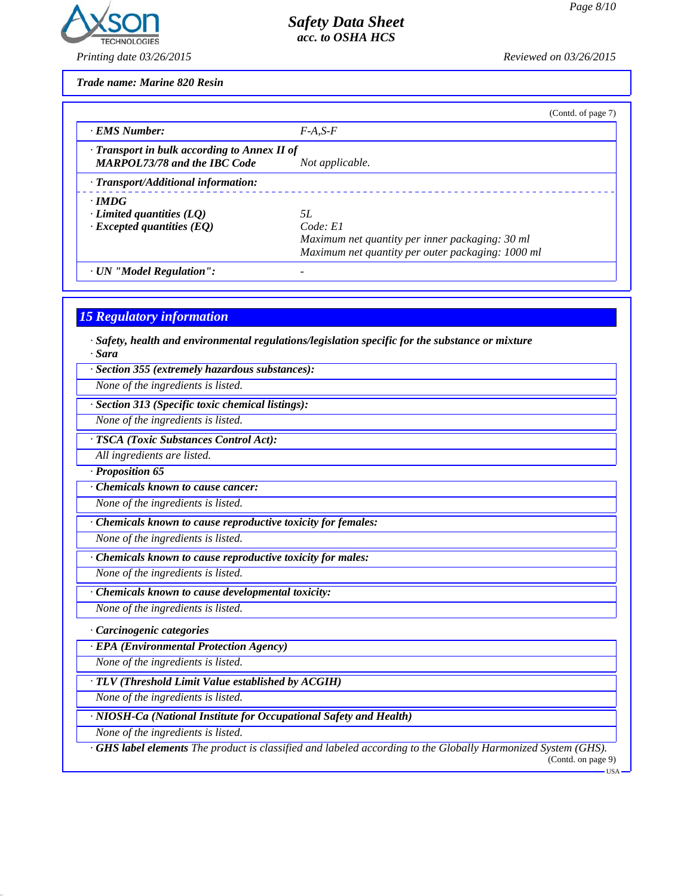

*Printing date 03/26/2015 Reviewed on 03/26/2015*

*Trade name: Marine 820 Resin*

|                                                                                           | (Contd. of page 7)                                                                                                     |
|-------------------------------------------------------------------------------------------|------------------------------------------------------------------------------------------------------------------------|
| · EMS Number:                                                                             | $F-A.S-F$                                                                                                              |
| $\cdot$ Transport in bulk according to Annex II of<br><b>MARPOL73/78 and the IBC Code</b> | Not applicable.                                                                                                        |
| · Transport/Additional information:                                                       |                                                                                                                        |
| $\cdot$ IMDG<br>$\cdot$ Limited quantities (LQ)<br>$\cdot$ Excepted quantities (EQ)       | 5L<br>Code: El<br>Maximum net quantity per inner packaging: 30 ml<br>Maximum net quantity per outer packaging: 1000 ml |
| · UN "Model Regulation":                                                                  |                                                                                                                        |

*15 Regulatory information*

*· Safety, health and environmental regulations/legislation specific for the substance or mixture · Sara*

*· Section 355 (extremely hazardous substances):*

*None of the ingredients is listed.*

*· Section 313 (Specific toxic chemical listings):*

*None of the ingredients is listed.*

*· TSCA (Toxic Substances Control Act):*

*All ingredients are listed.*

*· Proposition 65*

*· Chemicals known to cause cancer:*

*None of the ingredients is listed.*

*· Chemicals known to cause reproductive toxicity for females:*

*None of the ingredients is listed.*

*· Chemicals known to cause reproductive toxicity for males:*

*None of the ingredients is listed.*

*· Chemicals known to cause developmental toxicity:*

*None of the ingredients is listed.*

*· Carcinogenic categories*

*· EPA (Environmental Protection Agency)*

*None of the ingredients is listed.*

*· TLV (Threshold Limit Value established by ACGIH)*

*None of the ingredients is listed.*

*· NIOSH-Ca (National Institute for Occupational Safety and Health)*

*None of the ingredients is listed.*

*· GHS label elements The product is classified and labeled according to the Globally Harmonized System (GHS).* (Contd. on page 9)

 $-<sub>11</sub>S<sub>A</sub>$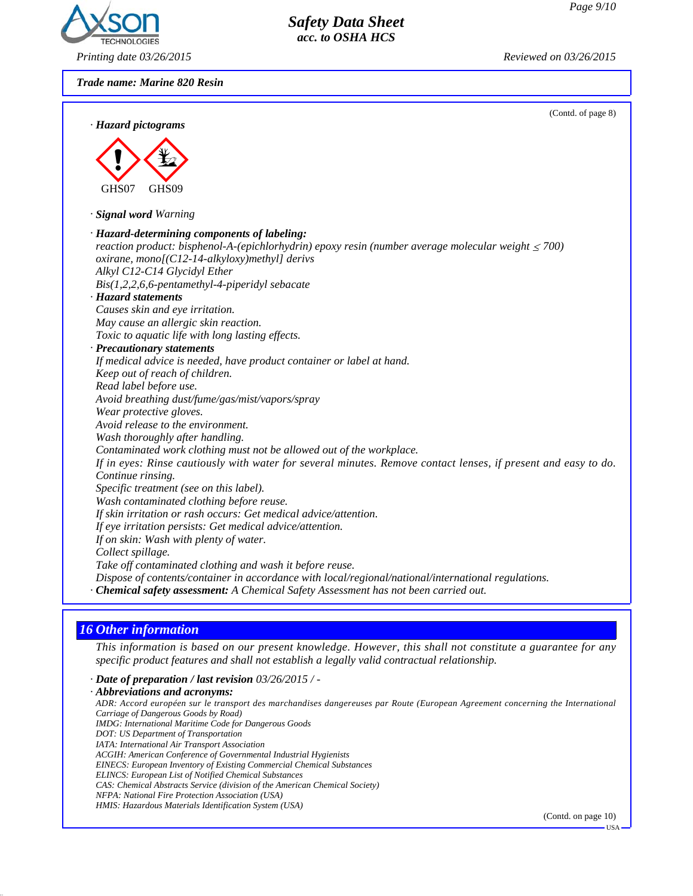

*Printing date 03/26/2015 Reviewed on 03/26/2015*

*Trade name: Marine 820 Resin*

|                                                                                                                | (Contd. of page 8) |
|----------------------------------------------------------------------------------------------------------------|--------------------|
| · Hazard pictograms                                                                                            |                    |
|                                                                                                                |                    |
|                                                                                                                |                    |
|                                                                                                                |                    |
| GHS07<br>GHS09                                                                                                 |                    |
| · Signal word Warning                                                                                          |                    |
| · Hazard-determining components of labeling:                                                                   |                    |
| reaction product: bisphenol-A-(epichlorhydrin) epoxy resin (number average molecular weight $\leq$ 700)        |                    |
| oxirane, mono[(C12-14-alkyloxy)methyl] derivs                                                                  |                    |
| Alkyl C12-C14 Glycidyl Ether                                                                                   |                    |
| $Bis(1,2,2,6,6-pentamentlyl-4-piperidyl sebacate$                                                              |                    |
| · Hazard statements                                                                                            |                    |
| Causes skin and eye irritation.                                                                                |                    |
| May cause an allergic skin reaction.                                                                           |                    |
| Toxic to aquatic life with long lasting effects.                                                               |                    |
| · Precautionary statements                                                                                     |                    |
| If medical advice is needed, have product container or label at hand.                                          |                    |
| Keep out of reach of children.                                                                                 |                    |
| Read label before use.                                                                                         |                    |
| Avoid breathing dust/fume/gas/mist/vapors/spray                                                                |                    |
| Wear protective gloves.                                                                                        |                    |
| Avoid release to the environment.                                                                              |                    |
| Wash thoroughly after handling.                                                                                |                    |
| Contaminated work clothing must not be allowed out of the workplace.                                           |                    |
| If in eyes: Rinse cautiously with water for several minutes. Remove contact lenses, if present and easy to do. |                    |
| Continue rinsing.                                                                                              |                    |
| Specific treatment (see on this label).                                                                        |                    |
| Wash contaminated clothing before reuse.                                                                       |                    |
| If skin irritation or rash occurs: Get medical advice/attention.                                               |                    |
| If eye irritation persists: Get medical advice/attention.                                                      |                    |
| If on skin: Wash with plenty of water.                                                                         |                    |
| Collect spillage.                                                                                              |                    |
| Take off contaminated clothing and wash it before reuse.                                                       |                    |
| Dispose of contents/container in accordance with local/regional/national/international regulations.            |                    |
| · Chemical safety assessment: A Chemical Safety Assessment has not been carried out.                           |                    |

# *16 Other information*

*This information is based on our present knowledge. However, this shall not constitute a guarantee for any specific product features and shall not establish a legally valid contractual relationship.*

*· Date of preparation / last revision 03/26/2015 / -*

*· Abbreviations and acronyms: ADR: Accord européen sur le transport des marchandises dangereuses par Route (European Agreement concerning the International Carriage of Dangerous Goods by Road) IMDG: International Maritime Code for Dangerous Goods DOT: US Department of Transportation IATA: International Air Transport Association ACGIH: American Conference of Governmental Industrial Hygienists EINECS: European Inventory of Existing Commercial Chemical Substances ELINCS: European List of Notified Chemical Substances CAS: Chemical Abstracts Service (division of the American Chemical Society) NFPA: National Fire Protection Association (USA) HMIS: Hazardous Materials Identification System (USA)*

(Contd. on page 10)